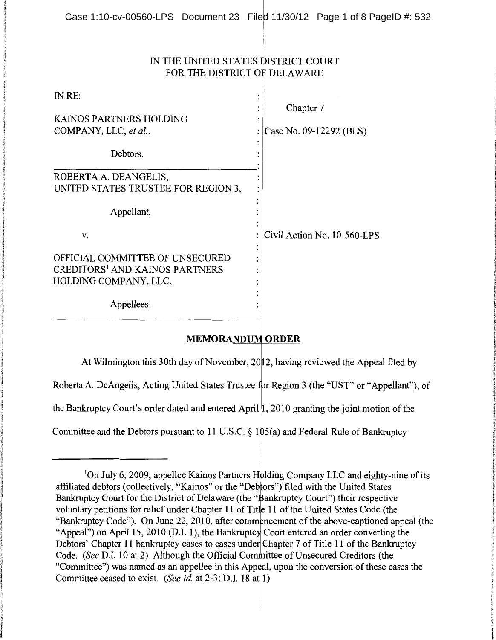## IN THE UNITED STATES biSTRICT COURT FOR THE DISTRICT Of DELAWARE

I

| IN RE:                                                                                                       |                                      |
|--------------------------------------------------------------------------------------------------------------|--------------------------------------|
| KAINOS PARTNERS HOLDING<br>COMPANY, LLC, et al.,                                                             | Chapter 7<br>Case No. 09-12292 (BLS) |
| Debtors.                                                                                                     |                                      |
| ROBERTA A. DEANGELIS,<br>UNITED STATES TRUSTEE FOR REGION 3,                                                 |                                      |
| Appellant,                                                                                                   |                                      |
| V.                                                                                                           | Civil Action No. 10-560-LPS          |
| OFFICIAL COMMITTEE OF UNSECURED<br><b>CREDITORS<sup>1</sup> AND KAINOS PARTNERS</b><br>HOLDING COMPANY, LLC, |                                      |
| Appellees.                                                                                                   |                                      |
|                                                                                                              |                                      |

## **MEMORANDUM ORDER**

At Wilmington this 30th day of November,  $2012$ , having reviewed the Appeal filed by

Roberta A. DeAngelis, Acting United States Trustee for Region 3 (the "UST" or "Appellant"), of

the Bankruptcy Court's order dated and entered April  $\vert 1$ , 2010 granting the joint motion of the

Committee and the Debtors pursuant to 11 U.S.C.  $\S 105(a)$  and Federal Rule of Bankruptcy

<sup>&</sup>lt;sup>1</sup>On July 6, 2009, appellee Kainos Partners Holding Company LLC and eighty-nine of its affiliated debtors (collectively, "Kainos" or the "Debtors") filed with the United States Bankruptcy Court for the District of Delaware (the "Bankruptcy Court") their respective voluntary petitions for relief under Chapter 11 of Title 11 of the United States Code (the "Bankruptcy Code"). On June 22, 2010, after commencement of the above-captioned appeal (the "Appeal") on April 15, 2010 (D.I. 1), the Bankruptcy Court entered an order converting the Debtors' Chapter 11 bankruptcy cases to cases under Chapter 7 of Title 11 of the Bankruptcy Code. *(See D.I. 10 at 2)* Although the Official Committee of Unsecured Creditors (the "Committee") was named as an appellee in this Appeal, upon the conversion of these cases the Committee ceased to exist. *(See id.* at 2-3; D.I. 18 at 1)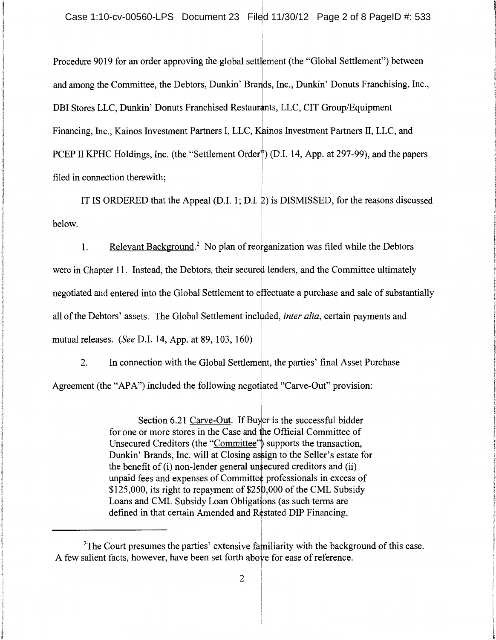Procedure 9019 for an order approving the global settlement (the "Global Settlement") between and among the Committee, the Debtors, Dunkin' Brands, Inc., Dunkin' Donuts Franchising, Inc., DBI Stores LLC, Dunkin' Donuts Franchised Restaurants, LLC, CIT Group/Equipment Financing, Inc., Kainos Investment Partners I, LLC, Kainos Investment Partners II, LLC, and PCEP II KPHC Holdings, Inc. (the "Settlement Order") (D.I. 14, App. at 297-99), and the papers filed in connection therewith;

IT IS ORDERED that the Appeal  $(D.I. 1; D.I. 2)$  is DISMISSED, for the reasons discussed below.

1. Relevant Background.<sup>2</sup> No plan of reorganization was filed while the Debtors were in Chapter 11. Instead, the Debtors, their secured lenders, and the Committee ultimately negotiated and entered into the Global Settlement to effectuate a purchase and sale of substantially all of the Debtors' assets. The Global Settlement included, *inter alia*, certain payments and mutual releases. *(See* D.l. 14, App. at 89, 103, 160) !

2. In connection with the Global Settlemert, the parties' final Asset Purchase Agreement (the "APA") included the following negotiated "Carve-Out" provision:

> Section 6.21 Carve-Out. If Buyer is the successful bidder for one or more stores in the Case and he Official Committee of Unsecured Creditors (the "Committee") supports the transaction, Dunkin' Brands, Inc. will at Closing assign to the Seller's estate for the benefit of (i) non-lender general unsecured creditors and (ii) unpaid fees and expenses of Committee professionals in excess of  $$125,000$ , its right to repayment of  $$250,000$  of the CML Subsidy Loans and CML Subsidy Loan Obligations (as such terms are defined in that certain Amended and Restated DIP Financing,

i

<sup>&</sup>lt;sup>2</sup>The Court presumes the parties' extensive familiarity with the background of this case. A few salient facts, however, have been set forth above for ease of reference.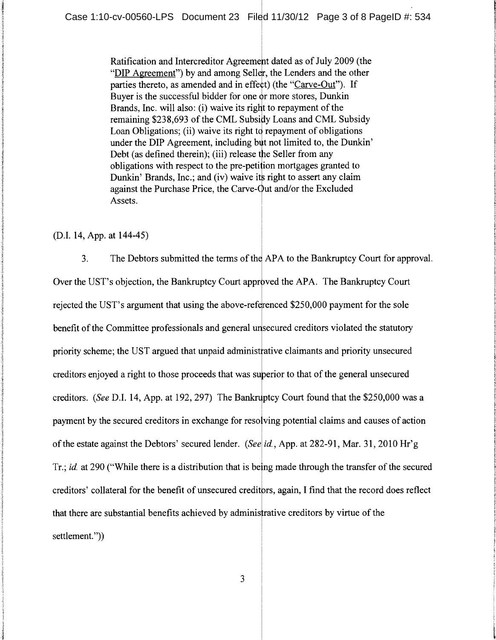Ratification and Intercreditor Agreement dated as of July 2009 (the "DIP Agreement") by and among Seller, the Lenders and the other parties thereto, as amended and in effect) (the "Carve-Out"). If Buyer is the successful bidder for one or more stores, Dunkin Brands, Inc. will also: (i) waive its right to repayment of the remaining \$238,693 of the CML Subsidy Loans and CML Subsidy Loan Obligations; (ii) waive its right to repayment of obligations under the DIP Agreement, including but not limited to, the Dunkin' Debt (as defined therein); (iii) release the Seller from any obligations with respect to the pre-petition mortgages granted to Dunkin' Brands, Inc.; and (iv) waive its right to assert any claim against the Purchase Price, the Carve-Out and/or the Excluded Assets.

(D.I. 14, App. at 144-45)

3. The Debtors submitted the terms of the APA to the Bankruptcy Court for approval. Over the UST's objection, the Bankruptcy Court approved the APA. The Bankruptcy Court rejected the UST's argument that using the above-referenced \$250,000 payment for the sole benefit of the Committee professionals and general unsecured creditors violated the statutory priority scheme; the UST argued that unpaid administrative claimants and priority unsecured creditors enjoyed a right to those proceeds that was superior to that of the general unsecured creditors. *(See D.I. 14, App. at 192, 297)* The Bankruptcy Court found that the \$250,000 was a payment by the secured creditors in exchange for resolving potential claims and causes of action of the estate against the Debtors' secured lender. *(Seel id.,* App. at 282-91, Mar. 31, 2010 Hr'g I Tr.; *id.* at 290 ("While there is a distribution that is being made through the transfer of the secured ! creditors' collateral for the benefit of unsecured creditors, again, I find that the record does reflect that there are substantial benefits achieved by administrative creditors by virtue of the settlement.")

3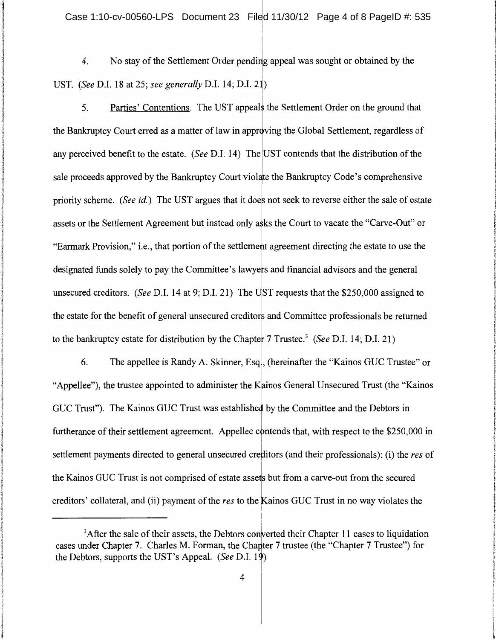4. No stay of the Settlement Order pending appeal was sought or obtained by the UST. *(See D.I. 18 at 25; see generally D.I. 14; D.I. 21)* 

5. Parties' Contentions. The UST appeals the Settlement Order on the ground that the Bankruptcy Court erred as a matter of law in approving the Global Settlement, regardless of any perceived benefit to the estate. *(See D.I. 14)* The UST contends that the distribution of the sale proceeds approved by the Bankruptcy Court violate the Bankruptcy Code's comprehensive priority scheme. *(See id.)* The UST argues that it does not seek to reverse either the sale of estate assets or the Settlement Agreement but instead only asks the Court to vacate the "Carve-Out" or "Earmark Provision," i.e., that portion of the settlement agreement directing the estate to use the designated funds solely to pay the Committee's lawyets and financial advisors and the general unsecured creditors. *(See D.I. 14 at 9; D.I. 21)* The UST requests that the \$250,000 assigned to the estate for the benefit of general unsecured creditors and Committee professionals be returned to the bankruptcy estate for distribution by the Chapter 7 Trustee.<sup>3</sup>*(See* D.l. 14; D.l. 21)

6. The appellee is Randy A. Skinner, Esq., (hereinafter the "Kainos GUC Trustee" or "Appellee"), the trustee appointed to administer the Kainos General Unsecured Trust (the "Kainos" GUC Trust"). The Kainos GUC Trust was established by the Committee and the Debtors in furtherance of their settlement agreement. Appellee contends that, with respect to the \$250,000 in settlement payments directed to general unsecured creditors (and their professionals): (i) the *res* of the Kainos GUC Trust is not comprised of estate assets but from a carve-out from the secured creditors' collateral, and (ii) payment of the *res* to the Kainos GUC Trust in no way violates the

I

 $3$ After the sale of their assets, the Debtors converted their Chapter 11 cases to liquidation cases under Chapter 7. Charles M. Forman, the Chapter 7 trustee (the "Chapter 7 Trustee") for the Debtors, supports the UST's Appeal. *(See D.I. 19)*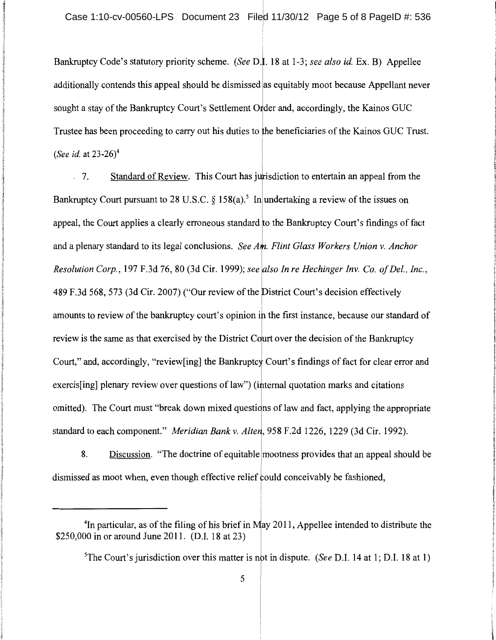Bankruptcy Code's statutory priority scheme. *(See D.I. 18 at 1-3; see also id. Ex. B)* Appellee additionally contends this appeal should be dismissed las equitably moot because Appellant never sought a stay of the Bankruptcy Court's Settlement Order and, accordingly, the Kainos GUC Trustee has been proceeding to carry out his duties to the beneficiaries ofthe Kainos GUC Trust. *(See id. at 23-26)<sup>4</sup>* 

 $\therefore$  7. Standard of Review. This Court has jurisdiction to entertain an appeal from the Bankruptcy Court pursuant to 28 U.S.C. § 158(a).<sup>5</sup> In undertaking a review of the issues on appeal, the Court applies a clearly erroneous standard to the Bankruptcy Court's findings of fact and a plenary standard to its legal conclusions. *See Am. Flint Glass Workers Union v. Anchor Resolution Corp., 197 F.3d 76, 80 (3d Cir. 1999); see also In re Hechinger Inv. Co. of Del., Inc.,* 489 F.3d 568, 573 (3d Cir. 2007) ("Our review of the District Court's decision effectively amounts to review of the bankruptcy court's opinion in the first instance, because our standard of review is the same as that exercised by the District Court over the decision of the Bankruptcy Court," and, accordingly, "review[ing] the Bankruptcy Court's findings of fact for clear error and exercis[ing] plenary review over questions of law") (internal quotation marks and citations omitted). The Court must "break down mixed questions of law and fact, applying the appropriate standard to each component." *Meridian Bank v. Alten*, 958 F.2d 1226, 1229 (3d Cir. 1992).

8. Discussion. "The doctrine of equitable lmootness provides that an appeal should be dismissed as moot when, even though effective relief could conceivably be fashioned,

<sup>&</sup>lt;sup>4</sup>In particular, as of the filing of his brief in May 2011, Appellee intended to distribute the \$250,000 in or around June 2011. (D.I. 18 at 23)

<sup>)</sup>  <sup>5</sup>The Court's jurisdiction over this matter is not in dispute. *(See D.I. 14 at 1; D.I. 18 at 1)*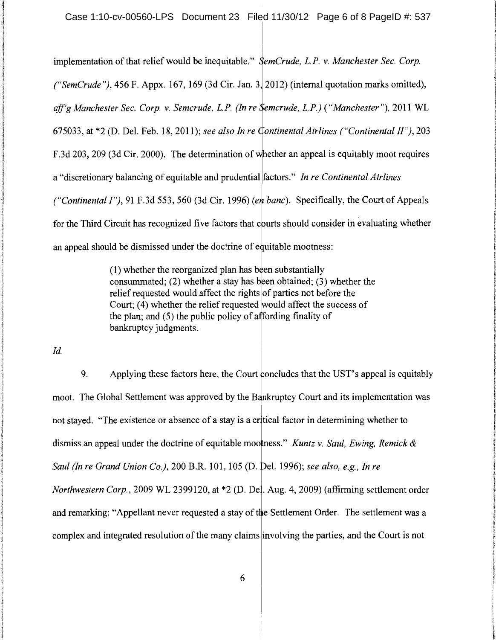implementation of that relief would be inequitable." *SemCrude, L.P. v. Manchester Sec. Corp. ("SemCrude")*, 456 F. Appx. 167, 169 (3d Cir. Jan. 3, 2012) (internal quotation marks omitted), aff'g Manchester Sec. Corp. v. Semcrude, L.P. (In re Semcrude, L.P.) ("Manchester"), 2011 WL 675033, at \*2 (D. Del. Feb. 18, 2011); *see also In re Continental Airlines ("Continental II")*, 203 F.3d 203, 209 (3d Cir. 2000). The determination of whether an appeal is equitably moot requires a "discretionary balancing of equitable and prudential factors." *In re Continental Airlines ("Continental I"), 91 F.3d 553, 560 (3d Cir. 1996) (en banc). Specifically, the Court of Appeals* for the Third Circuit has recognized five factors that courts should consider in evaluating whether an appeal should be dismissed under the doctrine of equitable mootness:

> $(1)$  whether the reorganized plan has been substantially consummated; (2) whether a stay has been obtained; (3) whether the relief requested would affect the rights of parties not before the Court; (4) whether the relief requested would affect the success of the plan; and  $(5)$  the public policy of affording finality of bankruptcy judgments.

*!d.* 

9. Applying these factors here, the Court concludes that the UST's appeal is equitably moot. The Global Settlement was approved by the Bankruptcy Court and its implementation was not stayed. "The existence or absence of a stay is a critical factor in determining whether to dismiss an appeal under the doctrine of equitable mootness." *Kuntz v. Saul, Ewing, Remick & Saul (In re Grand Union Co.), 200 B.R. 101, 105 (D. Del. 1996); see also, e.g., In re Northwestern Corp., 2009 WL 2399120, at \*2 (D. Del. Aug. 4, 2009) (affirming settlement order* and remarking: "Appellant never requested a stay of the Settlement Order. The settlement was a complex and integrated resolution of the many claims involving the parties, and the Court is not

6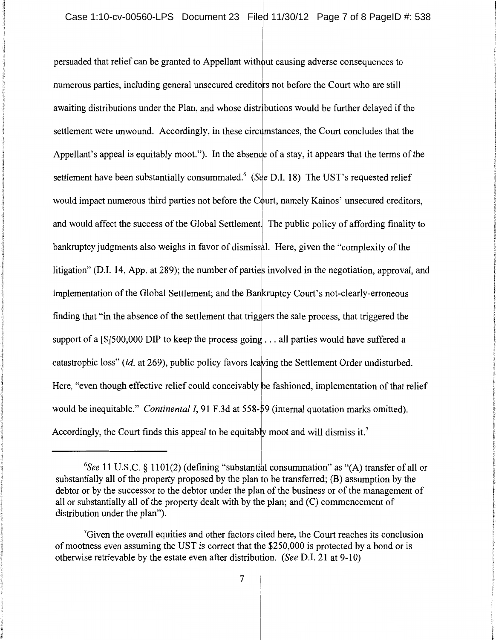persuaded that relief can be granted to Appellant without causing adverse consequences to numerous parties, including general unsecured creditors not before the Court who are still awaiting distributions under the Plan, and whose distributions would be further delayed if the settlement were unwound. Accordingly, in these circumstances, the Court concludes that the Appellant's appeal is equitably moot."). In the absence of a stay, it appears that the terms of the settlement have been substantially consummated.<sup>6</sup> (See D.I. 18) The UST's requested relief would impact numerous third parties not before the Court, namely Kainos' unsecured creditors, and would affect the success of the Global Settlement. The public policy of affording finality to bankruptcy judgments also weighs in favor of dismissal. Here, given the "complexity of the litigation" (D.I. 14, App. at 289); the number of parties involved in the negotiation, approval, and implementation of the Global Settlement; and the Bankruptcy Court's not-clearly-erroneous finding that "in the absence of the settlement that triggers the sale process, that triggered the support of a [ $$$ ]500,000 DIP to keep the process going ... all parties would have suffered a catastrophic loss" *(id.* at 269), public policy favors leaving the Settlement Order undisturbed. Here, "even though effective relief could conceivably be fashioned, implementation of that relief I would be inequitable." *Continental I*, 91 F.3d at 558-59 (internal quotation marks omitted). Accordingly, the Court finds this appeal to be equitably moot and will dismiss it.<sup>7</sup>

<sup>&</sup>lt;sup>6</sup>See 11 U.S.C. § 1101(2) (defining "substantial consummation" as "(A) transfer of all or substantially all of the property proposed by the plan to be transferred;  $(B)$  assumption by the debtor or by the successor to the debtor under the plan of the business or of the management of all or substantially all of the property dealt with by the plan; and  $(C)$  commencement of distribution under the plan").

 $\alpha$ <sup>7</sup>Given the overall equities and other factors cited here, the Court reaches its conclusion of mootness even assuming the UST is correct that the  $$250,000$  is protected by a bond or is otherwise retrievable by the estate even after distribu ion. *(See* D.I. 21 at 9-10)